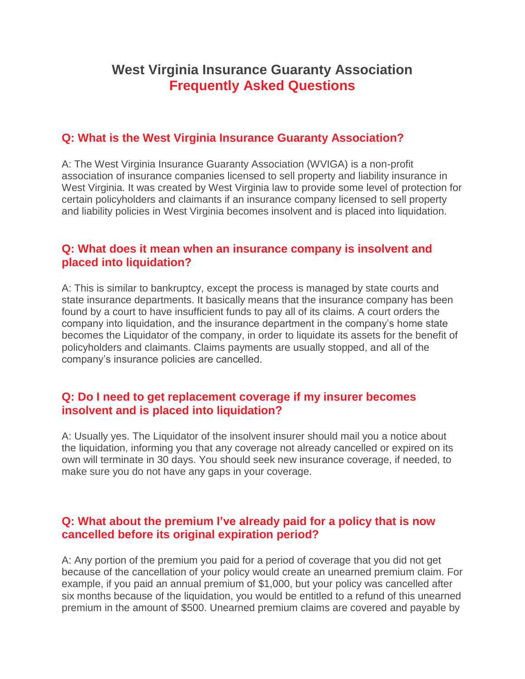# **West Virginia Insurance Guaranty Association Frequently Asked Questions**

### **Q: What is the West Virginia Insurance Guaranty Association?**

A: The West Virginia Insurance Guaranty Association (WVIGA) is a non-profit association of insurance companies licensed to sell property and liability insurance in West Virginia. It was created by West Virginia law to provide some level of protection for certain policyholders and claimants if an insurance company licensed to sell property and liability policies in West Virginia becomes insolvent and is placed into liquidation.

#### **Q: What does it mean when an insurance company is insolvent and placed into liquidation?**

A: This is similar to bankruptcy, except the process is managed by state courts and state insurance departments. It basically means that the insurance company has been found by a court to have insufficient funds to pay all of its claims. A court orders the company into liquidation, and the insurance department in the company's home state becomes the Liquidator of the company, in order to liquidate its assets for the benefit of policyholders and claimants. Claims payments are usually stopped, and all of the company's insurance policies are cancelled.

#### **Q: Do I need to get replacement coverage if my insurer becomes insolvent and is placed into liquidation?**

A: Usually yes. The Liquidator of the insolvent insurer should mail you a notice about the liquidation, informing you that any coverage not already cancelled or expired on its own will terminate in 30 days. You should seek new insurance coverage, if needed, to make sure you do not have any gaps in your coverage.

#### **Q: What about the premium I've already paid for a policy that is now cancelled before its original expiration period?**

A: Any portion of the premium you paid for a period of coverage that you did not get because of the cancellation of your policy would create an unearned premium claim. For example, if you paid an annual premium of \$1,000, but your policy was cancelled after six months because of the liquidation, you would be entitled to a refund of this unearned premium in the amount of \$500. Unearned premium claims are covered and payable by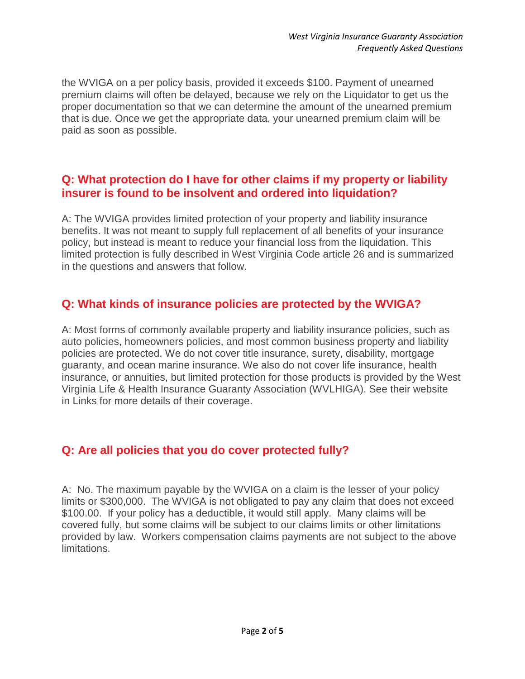the WVIGA on a per policy basis, provided it exceeds \$100. Payment of unearned premium claims will often be delayed, because we rely on the Liquidator to get us the proper documentation so that we can determine the amount of the unearned premium that is due. Once we get the appropriate data, your unearned premium claim will be paid as soon as possible.

#### **Q: What protection do I have for other claims if my property or liability insurer is found to be insolvent and ordered into liquidation?**

A: The WVIGA provides limited protection of your property and liability insurance benefits. It was not meant to supply full replacement of all benefits of your insurance policy, but instead is meant to reduce your financial loss from the liquidation. This limited protection is fully described in West Virginia Code article 26 and is summarized in the questions and answers that follow.

### **Q: What kinds of insurance policies are protected by the WVIGA?**

A: Most forms of commonly available property and liability insurance policies, such as auto policies, homeowners policies, and most common business property and liability policies are protected. We do not cover title insurance, surety, disability, mortgage guaranty, and ocean marine insurance. We also do not cover life insurance, health insurance, or annuities, but limited protection for those products is provided by the West Virginia Life & Health Insurance Guaranty Association (WVLHIGA). See their website in Links for more details of their coverage.

### **Q: Are all policies that you do cover protected fully?**

A: No. The maximum payable by the WVIGA on a claim is the lesser of your policy limits or \$300,000. The WVIGA is not obligated to pay any claim that does not exceed \$100.00. If your policy has a deductible, it would still apply. Many claims will be covered fully, but some claims will be subject to our claims limits or other limitations provided by law. Workers compensation claims payments are not subject to the above limitations.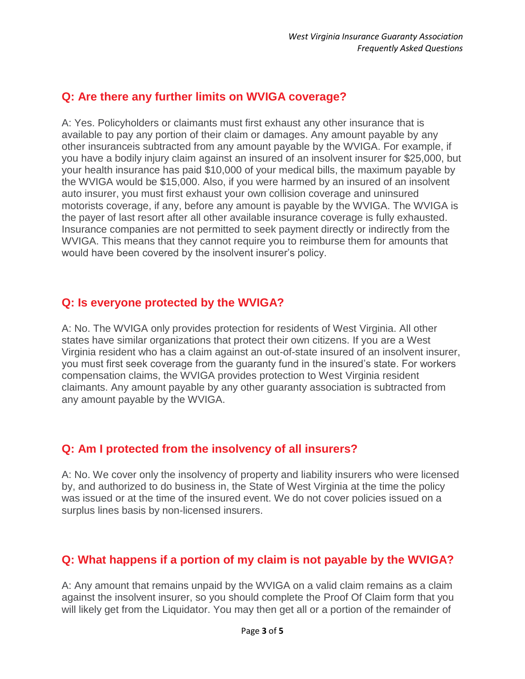### **Q: Are there any further limits on WVIGA coverage?**

A: Yes. Policyholders or claimants must first exhaust any other insurance that is available to pay any portion of their claim or damages. Any amount payable by any other insuranceis subtracted from any amount payable by the WVIGA. For example, if you have a bodily injury claim against an insured of an insolvent insurer for \$25,000, but your health insurance has paid \$10,000 of your medical bills, the maximum payable by the WVIGA would be \$15,000. Also, if you were harmed by an insured of an insolvent auto insurer, you must first exhaust your own collision coverage and uninsured motorists coverage, if any, before any amount is payable by the WVIGA. The WVIGA is the payer of last resort after all other available insurance coverage is fully exhausted. Insurance companies are not permitted to seek payment directly or indirectly from the WVIGA. This means that they cannot require you to reimburse them for amounts that would have been covered by the insolvent insurer's policy.

### **Q: Is everyone protected by the WVIGA?**

A: No. The WVIGA only provides protection for residents of West Virginia. All other states have similar organizations that protect their own citizens. If you are a West Virginia resident who has a claim against an out-of-state insured of an insolvent insurer, you must first seek coverage from the guaranty fund in the insured's state. For workers compensation claims, the WVIGA provides protection to West Virginia resident claimants. Any amount payable by any other guaranty association is subtracted from any amount payable by the WVIGA.

### **Q: Am I protected from the insolvency of all insurers?**

A: No. We cover only the insolvency of property and liability insurers who were licensed by, and authorized to do business in, the State of West Virginia at the time the policy was issued or at the time of the insured event. We do not cover policies issued on a surplus lines basis by non-licensed insurers.

## **Q: What happens if a portion of my claim is not payable by the WVIGA?**

A: Any amount that remains unpaid by the WVIGA on a valid claim remains as a claim against the insolvent insurer, so you should complete the Proof Of Claim form that you will likely get from the Liquidator. You may then get all or a portion of the remainder of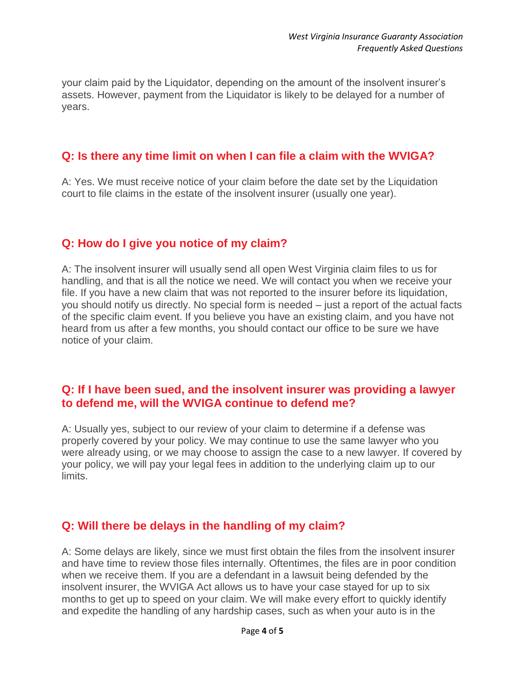your claim paid by the Liquidator, depending on the amount of the insolvent insurer's assets. However, payment from the Liquidator is likely to be delayed for a number of years.

### **Q: Is there any time limit on when I can file a claim with the WVIGA?**

A: Yes. We must receive notice of your claim before the date set by the Liquidation court to file claims in the estate of the insolvent insurer (usually one year).

### **Q: How do I give you notice of my claim?**

A: The insolvent insurer will usually send all open West Virginia claim files to us for handling, and that is all the notice we need. We will contact you when we receive your file. If you have a new claim that was not reported to the insurer before its liquidation, you should notify us directly. No special form is needed – just a report of the actual facts of the specific claim event. If you believe you have an existing claim, and you have not heard from us after a few months, you should contact our office to be sure we have notice of your claim.

### **Q: If I have been sued, and the insolvent insurer was providing a lawyer to defend me, will the WVIGA continue to defend me?**

A: Usually yes, subject to our review of your claim to determine if a defense was properly covered by your policy. We may continue to use the same lawyer who you were already using, or we may choose to assign the case to a new lawyer. If covered by your policy, we will pay your legal fees in addition to the underlying claim up to our limits.

### **Q: Will there be delays in the handling of my claim?**

A: Some delays are likely, since we must first obtain the files from the insolvent insurer and have time to review those files internally. Oftentimes, the files are in poor condition when we receive them. If you are a defendant in a lawsuit being defended by the insolvent insurer, the WVIGA Act allows us to have your case stayed for up to six months to get up to speed on your claim. We will make every effort to quickly identify and expedite the handling of any hardship cases, such as when your auto is in the